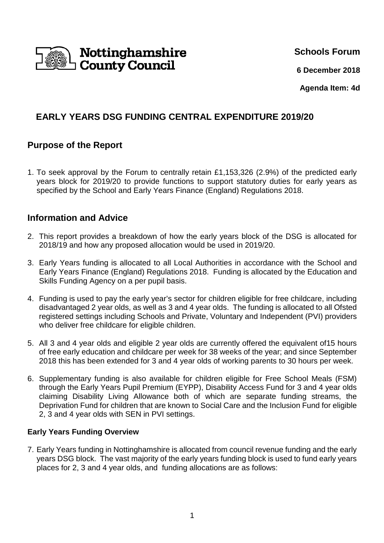

**Schools Forum**

**6 December 2018**

**Agenda Item: 4d**

# **EARLY YEARS DSG FUNDING CENTRAL EXPENDITURE 2019/20**

## **Purpose of the Report**

1. To seek approval by the Forum to centrally retain £1,153,326 (2.9%) of the predicted early years block for 2019/20 to provide functions to support statutory duties for early years as specified by the School and Early Years Finance (England) Regulations 2018.

## **Information and Advice**

- 2. This report provides a breakdown of how the early years block of the DSG is allocated for 2018/19 and how any proposed allocation would be used in 2019/20.
- 3. Early Years funding is allocated to all Local Authorities in accordance with the School and Early Years Finance (England) Regulations 2018. Funding is allocated by the Education and Skills Funding Agency on a per pupil basis.
- 4. Funding is used to pay the early year's sector for children eligible for free childcare, including disadvantaged 2 year olds, as well as 3 and 4 year olds. The funding is allocated to all Ofsted registered settings including Schools and Private, Voluntary and Independent (PVI) providers who deliver free childcare for eligible children.
- 5. All 3 and 4 year olds and eligible 2 year olds are currently offered the equivalent of15 hours of free early education and childcare per week for 38 weeks of the year; and since September 2018 this has been extended for 3 and 4 year olds of working parents to 30 hours per week.
- 6. Supplementary funding is also available for children eligible for Free School Meals (FSM) through the Early Years Pupil Premium (EYPP), Disability Access Fund for 3 and 4 year olds claiming Disability Living Allowance both of which are separate funding streams, the Deprivation Fund for children that are known to Social Care and the Inclusion Fund for eligible 2, 3 and 4 year olds with SEN in PVI settings.

### **Early Years Funding Overview**

7. Early Years funding in Nottinghamshire is allocated from council revenue funding and the early years DSG block. The vast majority of the early years funding block is used to fund early years places for 2, 3 and 4 year olds, and funding allocations are as follows: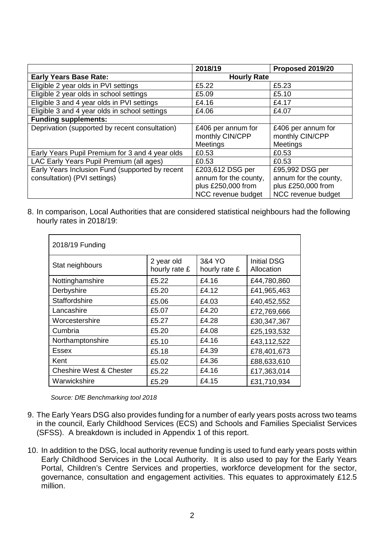|                                                                                 | 2018/19                                                                               | Proposed 2019/20                                                                     |
|---------------------------------------------------------------------------------|---------------------------------------------------------------------------------------|--------------------------------------------------------------------------------------|
| <b>Early Years Base Rate:</b>                                                   | <b>Hourly Rate</b>                                                                    |                                                                                      |
| Eligible 2 year olds in PVI settings                                            | £5.22                                                                                 | £5.23                                                                                |
| Eligible 2 year olds in school settings                                         | £5.09                                                                                 | £5.10                                                                                |
| Eligible 3 and 4 year olds in PVI settings                                      | £4.16                                                                                 | £4.17                                                                                |
| Eligible 3 and 4 year olds in school settings                                   | £4.06                                                                                 | £4.07                                                                                |
| <b>Funding supplements:</b>                                                     |                                                                                       |                                                                                      |
| Deprivation (supported by recent consultation)                                  | £406 per annum for<br>monthly CIN/CPP<br>Meetings                                     | £406 per annum for<br>monthly CIN/CPP<br><b>Meetings</b>                             |
| Early Years Pupil Premium for 3 and 4 year olds                                 | £0.53                                                                                 | £0.53                                                                                |
| LAC Early Years Pupil Premium (all ages)                                        | £0.53                                                                                 | £0.53                                                                                |
| Early Years Inclusion Fund (supported by recent<br>consultation) (PVI settings) | £203,612 DSG per<br>annum for the county,<br>plus £250,000 from<br>NCC revenue budget | £95,992 DSG per<br>annum for the county,<br>plus £250,000 from<br>NCC revenue budget |

8. In comparison, Local Authorities that are considered statistical neighbours had the following hourly rates in 2018/19:

| 2018/19 Funding                    |                             |                         |                                  |
|------------------------------------|-----------------------------|-------------------------|----------------------------------|
| Stat neighbours                    | 2 year old<br>hourly rate £ | 3&4 YO<br>hourly rate £ | <b>Initial DSG</b><br>Allocation |
| Nottinghamshire                    | £5.22                       | £4.16                   | £44,780,860                      |
| Derbyshire                         | £5.20                       | £4.12                   | £41,965,463                      |
| Staffordshire                      | £5.06                       | £4.03                   | £40,452,552                      |
| Lancashire                         | £5.07                       | £4.20                   | £72,769,666                      |
| Worcestershire                     | £5.27                       | £4.28                   | £30,347,367                      |
| Cumbria                            | £5.20                       | £4.08                   | £25,193,532                      |
| Northamptonshire                   | £5.10                       | £4.16                   | £43,112,522                      |
| <b>Essex</b>                       | £5.18                       | £4.39                   | £78,401,673                      |
| Kent                               | £5.02                       | £4.36                   | £88,633,610                      |
| <b>Cheshire West &amp; Chester</b> | £5.22                       | £4.16                   | £17,363,014                      |
| Warwickshire                       | £5.29                       | £4.15                   | £31,710,934                      |

Source: DfE Benchmarking tool 2018

- 9. The Early Years DSG also provides funding for a number of early years posts across two teams in the council, Early Childhood Services (ECS) and Schools and Families Specialist Services (SFSS). A breakdown is included in Appendix 1 of this report.
- 10. In addition to the DSG, local authority revenue funding is used to fund early years posts within Early Childhood Services in the Local Authority. It is also used to pay for the Early Years Portal, Children's Centre Services and properties, workforce development for the sector, governance, consultation and engagement activities. This equates to approximately £12.5 million.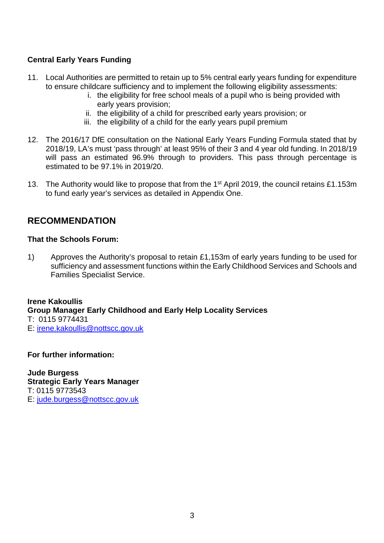### **Central Early Years Funding**

- 11. Local Authorities are permitted to retain up to 5% central early years funding for expenditure to ensure childcare sufficiency and to implement the following eligibility assessments:
	- i. the eligibility for free school meals of a pupil who is being provided with early years provision;
	- ii. the eligibility of a child for prescribed early years provision; or
	- iii. the eligibility of a child for the early years pupil premium
- 12. The 2016/17 DfE consultation on the National Early Years Funding Formula stated that by 2018/19, LA's must 'pass through' at least 95% of their 3 and 4 year old funding. In 2018/19 will pass an estimated 96.9% through to providers. This pass through percentage is estimated to be 97.1% in 2019/20.
- 13. The Authority would like to propose that from the 1<sup>st</sup> April 2019, the council retains £1.153m to fund early year's services as detailed in Appendix One.

## **RECOMMENDATION**

#### **That the Schools Forum:**

1) Approves the Authority's proposal to retain £1,153m of early years funding to be used for sufficiency and assessment functions within the Early Childhood Services and Schools and Families Specialist Service.

**Irene Kakoullis Group Manager Early Childhood and Early Help Locality Services**  T: 0115 9774431 E: irene.kakoullis@nottscc.gov.uk

**For further information:** 

**Jude Burgess Strategic Early Years Manager**  T: 0115 9773543 E: jude.burgess@nottscc.gov.uk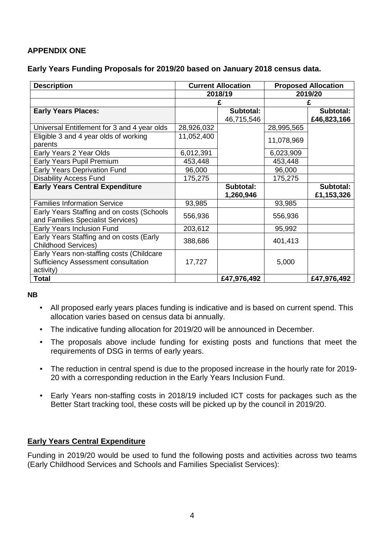## **APPENDIX ONE**

#### **Early Years Funding Proposals for 2019/20 based on January 2018 census data.**

| <b>Description</b>                                                                                   |            | <b>Current Allocation</b> |            | <b>Proposed Allocation</b> |
|------------------------------------------------------------------------------------------------------|------------|---------------------------|------------|----------------------------|
|                                                                                                      | 2018/19    |                           | 2019/20    |                            |
|                                                                                                      |            |                           | £          |                            |
| <b>Early Years Places:</b>                                                                           |            | Subtotal:                 |            | Subtotal:                  |
|                                                                                                      |            | 46,715,546                |            | £46,823,166                |
| Universal Entitlement for 3 and 4 year olds                                                          | 28,926,032 |                           | 28,995,565 |                            |
| Eligible 3 and 4 year olds of working<br>parents                                                     | 11,052,400 |                           | 11,078,969 |                            |
| Early Years 2 Year Olds                                                                              | 6,012,391  |                           | 6,023,909  |                            |
| Early Years Pupil Premium                                                                            | 453,448    |                           | 453,448    |                            |
| Early Years Deprivation Fund                                                                         | 96,000     |                           | 96,000     |                            |
| <b>Disability Access Fund</b>                                                                        | 175,275    |                           | 175,275    |                            |
| <b>Early Years Central Expenditure</b>                                                               |            | Subtotal:                 |            | Subtotal:                  |
|                                                                                                      |            | 1,260,946                 |            | £1,153,326                 |
| <b>Families Information Service</b>                                                                  | 93,985     |                           | 93,985     |                            |
| Early Years Staffing and on costs (Schools<br>and Families Specialist Services)                      | 556,936    |                           | 556,936    |                            |
| Early Years Inclusion Fund                                                                           | 203,612    |                           | 95,992     |                            |
| Early Years Staffing and on costs (Early<br><b>Childhood Services)</b>                               | 388,686    |                           | 401,413    |                            |
| Early Years non-staffing costs (Childcare<br><b>Sufficiency Assessment consultation</b><br>activity) | 17,727     |                           | 5,000      |                            |
| <b>Total</b>                                                                                         |            | £47,976,492               |            | £47,976,492                |

#### **NB**

- All proposed early years places funding is indicative and is based on current spend. This allocation varies based on census data bi annually.
- The indicative funding allocation for 2019/20 will be announced in December.
- The proposals above include funding for existing posts and functions that meet the requirements of DSG in terms of early years.
- The reduction in central spend is due to the proposed increase in the hourly rate for 2019- 20 with a corresponding reduction in the Early Years Inclusion Fund.
- Early Years non-staffing costs in 2018/19 included ICT costs for packages such as the Better Start tracking tool, these costs will be picked up by the council in 2019/20.

### **Early Years Central Expenditure**

Funding in 2019/20 would be used to fund the following posts and activities across two teams (Early Childhood Services and Schools and Families Specialist Services):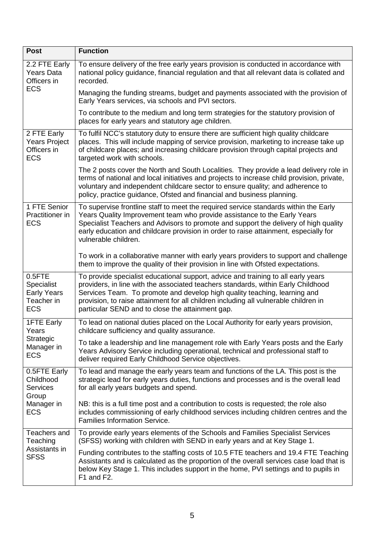| <b>Post</b>                                                                       | <b>Function</b>                                                                                                                                                                                                                                                                                                                                                                                 |
|-----------------------------------------------------------------------------------|-------------------------------------------------------------------------------------------------------------------------------------------------------------------------------------------------------------------------------------------------------------------------------------------------------------------------------------------------------------------------------------------------|
| 2.2 FTE Early<br><b>Years Data</b><br>Officers in                                 | To ensure delivery of the free early years provision is conducted in accordance with<br>national policy guidance, financial regulation and that all relevant data is collated and<br>recorded.                                                                                                                                                                                                  |
| <b>ECS</b>                                                                        | Managing the funding streams, budget and payments associated with the provision of<br>Early Years services, via schools and PVI sectors.                                                                                                                                                                                                                                                        |
|                                                                                   | To contribute to the medium and long term strategies for the statutory provision of<br>places for early years and statutory age children.                                                                                                                                                                                                                                                       |
| 2 FTE Early<br>Years Project<br>Officers in<br><b>ECS</b>                         | To fulfil NCC's statutory duty to ensure there are sufficient high quality childcare<br>places. This will include mapping of service provision, marketing to increase take up<br>of childcare places; and increasing childcare provision through capital projects and<br>targeted work with schools.                                                                                            |
|                                                                                   | The 2 posts cover the North and South Localities. They provide a lead delivery role in<br>terms of national and local initiatives and projects to increase child provision, private,<br>voluntary and independent childcare sector to ensure quality; and adherence to<br>policy, practice guidance, Ofsted and financial and business planning.                                                |
| 1 FTE Senior<br>Practitioner in<br><b>ECS</b>                                     | To supervise frontline staff to meet the required service standards within the Early<br>Years Quality Improvement team who provide assistance to the Early Years<br>Specialist Teachers and Advisors to promote and support the delivery of high quality<br>early education and childcare provision in order to raise attainment, especially for<br>vulnerable children.                        |
|                                                                                   | To work in a collaborative manner with early years providers to support and challenge<br>them to improve the quality of their provision in line with Ofsted expectations.                                                                                                                                                                                                                       |
| $0.5$ FTE<br><b>Specialist</b><br><b>Early Years</b><br>Teacher in<br><b>ECS</b>  | To provide specialist educational support, advice and training to all early years<br>providers, in line with the associated teachers standards, within Early Childhood<br>Services Team. To promote and develop high quality teaching, learning and<br>provision, to raise attainment for all children including all vulnerable children in<br>particular SEND and to close the attainment gap. |
| <b>1FTE Early</b><br>Years                                                        | To lead on national duties placed on the Local Authority for early years provision,<br>childcare sufficiency and quality assurance.                                                                                                                                                                                                                                                             |
| Strategic<br>Manager in<br><b>ECS</b>                                             | To take a leadership and line management role with Early Years posts and the Early<br>Years Advisory Service including operational, technical and professional staff to<br>deliver required Early Childhood Service objectives.                                                                                                                                                                 |
| 0.5FTE Early<br>Childhood<br><b>Services</b><br>Group<br>Manager in<br><b>ECS</b> | To lead and manage the early years team and functions of the LA. This post is the<br>strategic lead for early years duties, functions and processes and is the overall lead<br>for all early years budgets and spend.                                                                                                                                                                           |
|                                                                                   | NB: this is a full time post and a contribution to costs is requested; the role also<br>includes commissioning of early childhood services including children centres and the<br><b>Families Information Service.</b>                                                                                                                                                                           |
| Teachers and<br>Teaching<br>Assistants in<br><b>SFSS</b>                          | To provide early years elements of the Schools and Families Specialist Services<br>(SFSS) working with children with SEND in early years and at Key Stage 1.                                                                                                                                                                                                                                    |
|                                                                                   | Funding contributes to the staffing costs of 10.5 FTE teachers and 19.4 FTE Teaching<br>Assistants and is calculated as the proportion of the overall services case load that is<br>below Key Stage 1. This includes support in the home, PVI settings and to pupils in<br>F1 and F2.                                                                                                           |